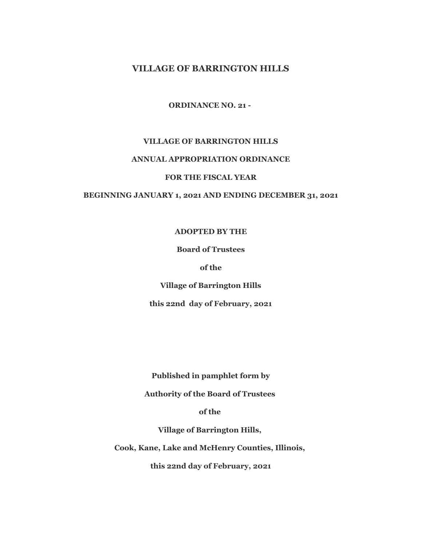# **VILLAGE OF BARRINGTON HILLS**

**ORDINANCE NO. 21 -** 

### **VILLAGE OF BARRINGTON HILLS**

## **ANNUAL APPROPRIATION ORDINANCE**

#### **FOR THE FISCAL YEAR**

### **BEGINNING JANUARY 1, 2021 AND ENDING DECEMBER 31, 2021**

### **ADOPTED BY THE**

### **Board of Trustees**

### **of the**

**Village of Barrington Hills** 

**this 22nd day of February, 2021**

**Published in pamphlet form by**

**Authority of the Board of Trustees** 

**of the** 

**Village of Barrington Hills,** 

**Cook, Kane, Lake and McHenry Counties, Illinois,** 

**this 22nd day of February, 2021**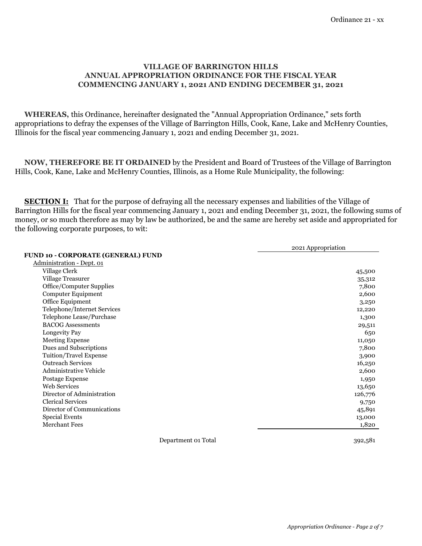## **COMMENCING JANUARY 1, 2021 AND ENDING DECEMBER 31, 2021 VILLAGE OF BARRINGTON HILLS ANNUAL APPROPRIATION ORDINANCE FOR THE FISCAL YEAR**

 **WHEREAS,** this Ordinance, hereinafter designated the "Annual Appropriation Ordinance," sets forth appropriations to defray the expenses of the Village of Barrington Hills, Cook, Kane, Lake and McHenry Counties, Illinois for the fiscal year commencing January 1, 2021 and ending December 31, 2021.

 **NOW, THEREFORE BE IT ORDAINED** by the President and Board of Trustees of the Village of Barrington Hills, Cook, Kane, Lake and McHenry Counties, Illinois, as a Home Rule Municipality, the following:

**SECTION I:** That for the purpose of defraying all the necessary expenses and liabilities of the Village of Barrington Hills for the fiscal year commencing January 1, 2021 and ending December 31, 2021, the following sums of money, or so much therefore as may by law be authorized, be and the same are hereby set aside and appropriated for the following corporate purposes, to wit:

|                                    | 2021 Appropriation |
|------------------------------------|--------------------|
| FUND 10 - CORPORATE (GENERAL) FUND |                    |
| Administration - Dept. 01          |                    |
| Village Clerk                      | 45,500             |
| Village Treasurer                  | 35,312             |
| Office/Computer Supplies           | 7,800              |
| Computer Equipment                 | 2,600              |
| Office Equipment                   | 3,250              |
| Telephone/Internet Services        | 12,220             |
| Telephone Lease/Purchase           | 1,300              |
| <b>BACOG Assessments</b>           | 29,511             |
| Longevity Pay                      | 650                |
| <b>Meeting Expense</b>             | 11,050             |
| Dues and Subscriptions             | 7,800              |
| Tuition/Travel Expense             | 3,900              |
| <b>Outreach Services</b>           | 16,250             |
| <b>Administrative Vehicle</b>      | 2,600              |
| Postage Expense                    | 1,950              |
| <b>Web Services</b>                | 13,650             |
| Director of Administration         | 126,776            |
| <b>Clerical Services</b>           | 9,750              |
| Director of Communications         | 45,891             |
| <b>Special Events</b>              | 13,000             |
| <b>Merchant Fees</b>               | 1,820              |

Department 01 Total 392,581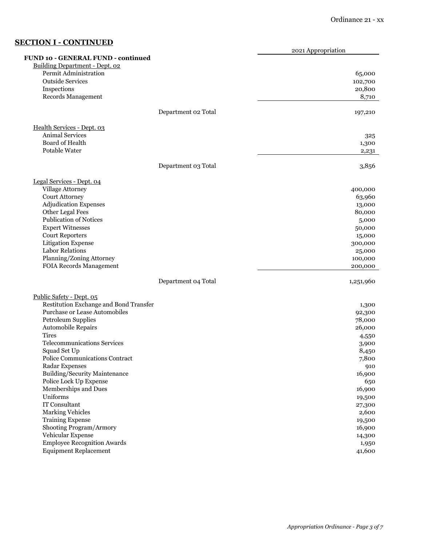# **SECTION I - CONTINUED**

|                                                                                                      |                     | 2021 Appropriation |
|------------------------------------------------------------------------------------------------------|---------------------|--------------------|
| <b>FUND 10 - GENERAL FUND - continued</b><br>Building Department - Dept. 02<br>Permit Administration |                     | 65,000             |
| <b>Outside Services</b>                                                                              |                     | 102,700            |
| Inspections                                                                                          |                     | 20,800             |
| Records Management                                                                                   |                     | 8,710              |
|                                                                                                      | Department 02 Total | 197,210            |
| Health Services - Dept. 03                                                                           |                     |                    |
| Animal Services<br>Board of Health                                                                   |                     | 325                |
| Potable Water                                                                                        |                     | 1,300<br>2,231     |
|                                                                                                      |                     |                    |
|                                                                                                      | Department 03 Total | 3,856              |
| Legal Services - Dept. 04                                                                            |                     |                    |
| Village Attorney                                                                                     |                     | 400,000            |
| <b>Court Attorney</b><br><b>Adjudication Expenses</b>                                                |                     | 63,960<br>13,000   |
| Other Legal Fees                                                                                     |                     | 80,000             |
| <b>Publication of Notices</b>                                                                        |                     | 5,000              |
| <b>Expert Witnesses</b>                                                                              |                     | 50,000             |
| <b>Court Reporters</b>                                                                               |                     | 15,000             |
| Litigation Expense                                                                                   |                     | 300,000            |
| <b>Labor Relations</b>                                                                               |                     | 25,000             |
| Planning/Zoning Attorney<br><b>FOIA Records Management</b>                                           |                     | 100,000<br>200,000 |
|                                                                                                      | Department 04 Total | 1,251,960          |
| Public Safety - Dept. 05                                                                             |                     |                    |
| Restitution Exchange and Bond Transfer                                                               |                     | 1,300              |
| Purchase or Lease Automobiles                                                                        |                     | 92,300             |
| <b>Petroleum Supplies</b>                                                                            |                     | 78,000             |
| Automobile Repairs<br><b>Tires</b>                                                                   |                     | 26,000<br>4,550    |
| <b>Telecommunications Services</b>                                                                   |                     | 3,900              |
| Squad Set Up                                                                                         |                     | 8,450              |
| Police Communications Contract                                                                       |                     | 7,800              |
| Radar Expenses                                                                                       |                     | 910                |
| Building/Security Maintenance                                                                        |                     | 16,900             |
| Police Lock Up Expense                                                                               |                     | 650                |
| Memberships and Dues                                                                                 |                     | 16,900             |
| Uniforms<br>IT Consultant                                                                            |                     | 19,500             |
| <b>Marking Vehicles</b>                                                                              |                     | 27,300<br>2,600    |
| <b>Training Expense</b>                                                                              |                     | 19,500             |
| Shooting Program/Armory                                                                              |                     | 16,900             |
| Vehicular Expense                                                                                    |                     | 14,300             |
| <b>Employee Recognition Awards</b>                                                                   |                     | 1,950              |
| <b>Equipment Replacement</b>                                                                         |                     | 41,600             |
|                                                                                                      |                     |                    |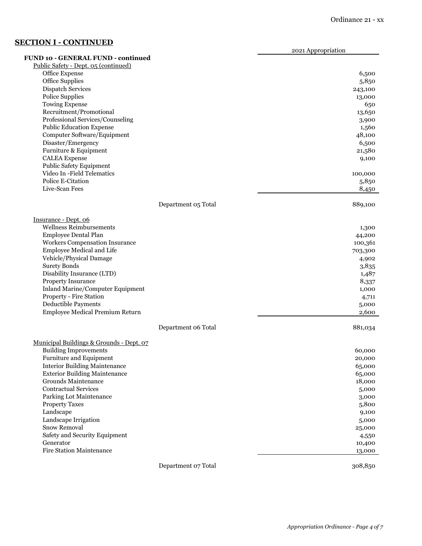# **SECTION I - CONTINUED**

2021 Appropriation

|                                                  |                     | $-0$ - $\ldots$ $\mu$ $\mu$ $\sigma$ $\mu$ $\ldots$ $\sigma$ $\mu$ |
|--------------------------------------------------|---------------------|--------------------------------------------------------------------|
| FUND 10 - GENERAL FUND - continued               |                     |                                                                    |
| Public Safety - Dept. 05 (continued)             |                     |                                                                    |
| Office Expense                                   |                     | 6,500                                                              |
| Office Supplies                                  |                     | 5,850                                                              |
| Dispatch Services<br><b>Police Supplies</b>      |                     | 243,100                                                            |
|                                                  |                     | 13,000                                                             |
| <b>Towing Expense</b><br>Recruitment/Promotional |                     | 650                                                                |
| Professional Services/Counseling                 |                     | 13,650<br>3,900                                                    |
| <b>Public Education Expense</b>                  |                     | 1,560                                                              |
| Computer Software/Equipment                      |                     | 48,100                                                             |
| Disaster/Emergency                               |                     | 6,500                                                              |
| Furniture & Equipment                            |                     | 21,580                                                             |
| <b>CALEA</b> Expense                             |                     | 9,100                                                              |
| <b>Public Safety Equipment</b>                   |                     |                                                                    |
| Video In -Field Telematics                       |                     | 100,000                                                            |
| Police E-Citation                                |                     | 5,850                                                              |
| Live-Scan Fees                                   |                     | 8,450                                                              |
|                                                  | Department 05 Total | 889,100                                                            |
| Insurance - Dept. 06                             |                     |                                                                    |
| Wellness Reimbursements                          |                     | 1,300                                                              |
| <b>Employee Dental Plan</b>                      |                     | 44,200                                                             |
| Workers Compensation Insurance                   |                     | 100,361                                                            |
| Employee Medical and Life                        |                     | 703,300                                                            |
| Vehicle/Physical Damage                          |                     | 4,902                                                              |
| <b>Surety Bonds</b>                              |                     | 3,835                                                              |
| Disability Insurance (LTD)                       |                     | 1,487                                                              |
| Property Insurance                               |                     | 8,337                                                              |
| Inland Marine/Computer Equipment                 |                     | 1,000                                                              |
| Property - Fire Station                          |                     | 4,711                                                              |
| Deductible Payments                              |                     | 5,000                                                              |
| Employee Medical Premium Return                  |                     | 2,600                                                              |
|                                                  | Department 06 Total | 881,034                                                            |
| Municipal Buildings & Grounds - Dept. 07         |                     |                                                                    |
| <b>Building Improvements</b>                     |                     | 60,000                                                             |
| <b>Furniture and Equipment</b>                   |                     | 20,000                                                             |
| <b>Interior Building Maintenance</b>             |                     | 65,000                                                             |
| <b>Exterior Building Maintenance</b>             |                     | 65,000                                                             |
| Grounds Maintenance                              |                     | 18,000                                                             |
| <b>Contractual Services</b>                      |                     | 5,000                                                              |
| Parking Lot Maintenance                          |                     | 3,000                                                              |
| <b>Property Taxes</b>                            |                     | 5,800                                                              |
| Landscape                                        |                     | 9,100                                                              |
| Landscape Irrigation                             |                     | 5,000                                                              |
| Snow Removal                                     |                     | 25,000                                                             |
| Safety and Security Equipment                    |                     | 4,550                                                              |
| Generator                                        |                     | 10,400                                                             |
| <b>Fire Station Maintenance</b>                  |                     | 13,000                                                             |
|                                                  | Department 07 Total | 308,850                                                            |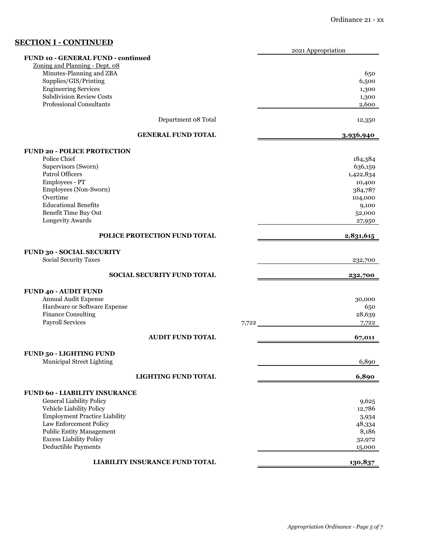# **SECTION I - CONTINUED**

|                                      |       | 2021 Appropriation |
|--------------------------------------|-------|--------------------|
| FUND 10 - GENERAL FUND - continued   |       |                    |
| Zoning and Planning - Dept. 08       |       |                    |
| Minutes-Planning and ZBA             |       | 650                |
| Supplies/GIS/Printing                |       | 6,500              |
| <b>Engineering Services</b>          |       | 1,300              |
| <b>Subdivision Review Costs</b>      |       | 1,300              |
| <b>Professional Consultants</b>      |       | 2,600              |
|                                      |       |                    |
| Department 08 Total                  |       | 12,350             |
|                                      |       |                    |
| <b>GENERAL FUND TOTAL</b>            |       | 3,936,940          |
| <b>FUND 20 - POLICE PROTECTION</b>   |       |                    |
| Police Chief                         |       | 184,384            |
| Supervisors (Sworn)                  |       | 636,159            |
| Patrol Officers                      |       | 1,422,834          |
| Employees - PT                       |       | 10,400             |
|                                      |       |                    |
| Employees (Non-Sworn)<br>Overtime    |       | 384,787            |
|                                      |       | 104,000            |
| <b>Educational Benefits</b>          |       | 9,100              |
| Benefit Time Buy Out                 |       | 52,000             |
| Longevity Awards                     |       | 27,950             |
| POLICE PROTECTION FUND TOTAL         |       | 2,831,615          |
|                                      |       |                    |
| <b>FUND 30 - SOCIAL SECURITY</b>     |       |                    |
| <b>Social Security Taxes</b>         |       | 232,700            |
|                                      |       |                    |
| <b>SOCIAL SECURITY FUND TOTAL</b>    |       | 232,700            |
|                                      |       |                    |
| <b>FUND 40 - AUDIT FUND</b>          |       |                    |
| Annual Audit Expense                 |       | 30,000             |
| Hardware or Software Expense         |       | 650                |
| <b>Finance Consulting</b>            |       | 28,639             |
| <b>Payroll Services</b>              | 7,722 | 7,722              |
|                                      |       |                    |
| <b>AUDIT FUND TOTAL</b>              |       | 67,011             |
| <b>FUND 50 - LIGHTING FUND</b>       |       |                    |
| Municipal Street Lighting            |       | 6,890              |
|                                      |       |                    |
| <b>LIGHTING FUND TOTAL</b>           |       | 6,890              |
|                                      |       |                    |
| <b>FUND 60 - LIABILITY INSURANCE</b> |       |                    |
| <b>General Liability Policy</b>      |       | 9,625              |
| Vehicle Liability Policy             |       | 12,786             |
| <b>Employment Practice Liability</b> |       | 3,934              |
| Law Enforcement Policy               |       | 48,334             |
| <b>Public Entity Management</b>      |       | 8,186              |
| <b>Excess Liability Policy</b>       |       | 32,972             |
| Deductible Payments                  |       | 15,000             |
|                                      |       |                    |
| LIABILITY INSURANCE FUND TOTAL       |       | 130,837            |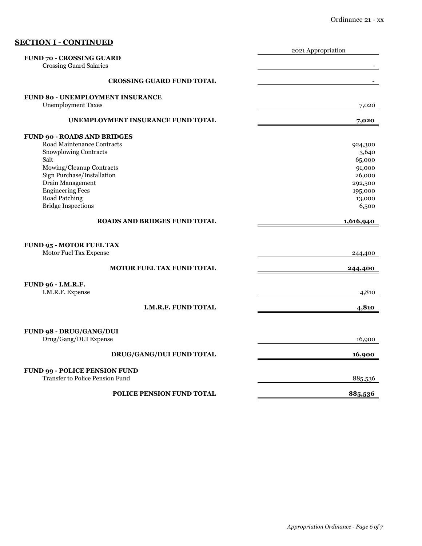|                                         | 2021 Appropriation |
|-----------------------------------------|--------------------|
| <b>FUND 70 - CROSSING GUARD</b>         |                    |
| <b>Crossing Guard Salaries</b>          |                    |
| <b>CROSSING GUARD FUND TOTAL</b>        |                    |
|                                         |                    |
| <b>FUND 80 - UNEMPLOYMENT INSURANCE</b> |                    |
| <b>Unemployment Taxes</b>               | 7,020              |
|                                         |                    |
| UNEMPLOYMENT INSURANCE FUND TOTAL       | 7,020              |
| <b>FUND 90 - ROADS AND BRIDGES</b>      |                    |
| Road Maintenance Contracts              | 924,300            |
| Snowplowing Contracts                   | 3,640              |
| Salt                                    | 65,000             |
| Mowing/Cleanup Contracts                | 91,000             |
| Sign Purchase/Installation              | 26,000             |
| Drain Management                        | 292,500            |
| <b>Engineering Fees</b>                 | 195,000            |
| Road Patching                           | 13,000             |
| <b>Bridge Inspections</b>               | 6,500              |
|                                         |                    |
| <b>ROADS AND BRIDGES FUND TOTAL</b>     | 1,616,940          |
|                                         |                    |
| <b>FUND 95 - MOTOR FUEL TAX</b>         |                    |
| Motor Fuel Tax Expense                  |                    |
|                                         | 244,400            |
| <b>MOTOR FUEL TAX FUND TOTAL</b>        | 244,400            |
|                                         |                    |
| <b>FUND 96 - I.M.R.F.</b>               |                    |
| I.M.R.F. Expense                        | 4,810              |
|                                         |                    |
| I.M.R.F. FUND TOTAL                     | 4,810              |
|                                         |                    |
| FUND 98 - DRUG/GANG/DUI                 |                    |
| Drug/Gang/DUI Expense                   | 16,900             |
|                                         |                    |
| <b>DRUG/GANG/DUI FUND TOTAL</b>         | 16,900             |
|                                         |                    |
| <b>FUND 99 - POLICE PENSION FUND</b>    |                    |
| <b>Transfer to Police Pension Fund</b>  |                    |
|                                         | 885,536            |
| <b>POLICE PENSION FUND TOTAL</b>        | 885,536            |
|                                         |                    |